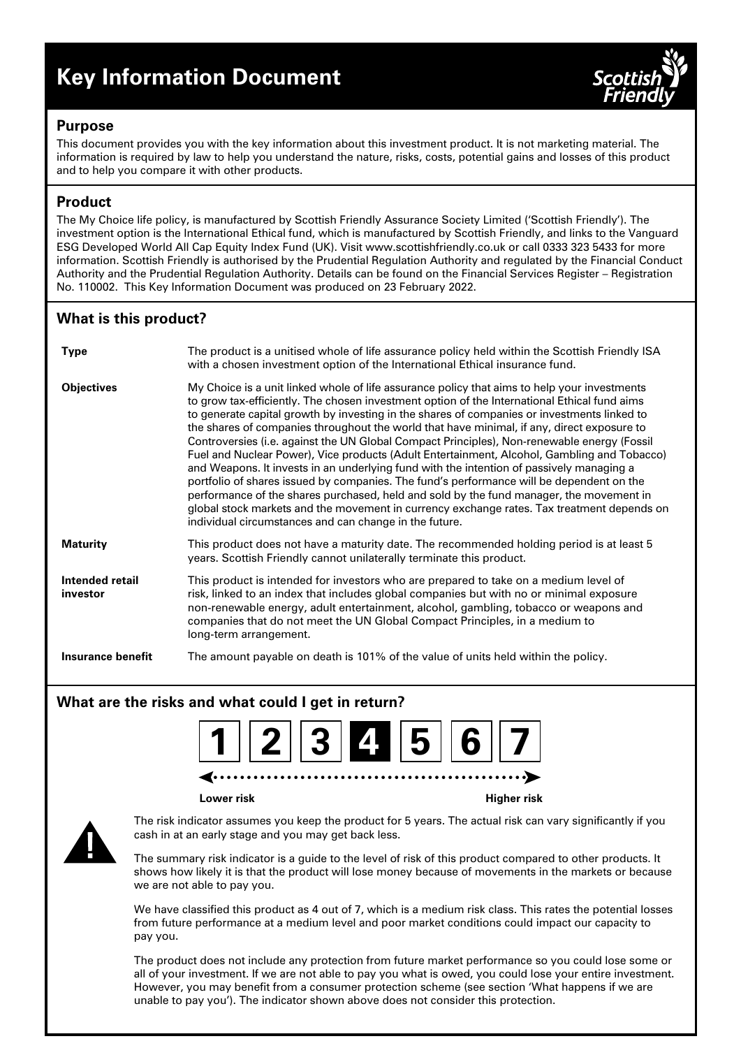# **Key Information Document**



## **Purpose**

This document provides you with the key information about this investment product. It is not marketing material. The information is required by law to help you understand the nature, risks, costs, potential gains and losses of this product and to help you compare it with other products.

# **Product**

The My Choice life policy, is manufactured by Scottish Friendly Assurance Society Limited ('Scottish Friendly'). The investment option is the International Ethical fund, which is manufactured by Scottish Friendly, and links to the Vanguard ESG Developed World All Cap Equity Index Fund (UK). Visit www.scottishfriendly.co.uk or call 0333 323 5433 for more information. Scottish Friendly is authorised by the Prudential Regulation Authority and regulated by the Financial Conduct Authority and the Prudential Regulation Authority. Details can be found on the Financial Services Register – Registration No. 110002. This Key Information Document was produced on 23 February 2022.

# **What is this product?**

| <b>Type</b>                 | The product is a unitised whole of life assurance policy held within the Scottish Friendly ISA<br>with a chosen investment option of the International Ethical insurance fund.                                                                                                                                                                                                                                                                                                                                                                                                                                                                                                                                                                                                                                                                                                                                                                                                                                                     |
|-----------------------------|------------------------------------------------------------------------------------------------------------------------------------------------------------------------------------------------------------------------------------------------------------------------------------------------------------------------------------------------------------------------------------------------------------------------------------------------------------------------------------------------------------------------------------------------------------------------------------------------------------------------------------------------------------------------------------------------------------------------------------------------------------------------------------------------------------------------------------------------------------------------------------------------------------------------------------------------------------------------------------------------------------------------------------|
| <b>Objectives</b>           | My Choice is a unit linked whole of life assurance policy that aims to help your investments<br>to grow tax-efficiently. The chosen investment option of the International Ethical fund aims<br>to generate capital growth by investing in the shares of companies or investments linked to<br>the shares of companies throughout the world that have minimal, if any, direct exposure to<br>Controversies (i.e. against the UN Global Compact Principles), Non-renewable energy (Fossil<br>Fuel and Nuclear Power), Vice products (Adult Entertainment, Alcohol, Gambling and Tobacco)<br>and Weapons. It invests in an underlying fund with the intention of passively managing a<br>portfolio of shares issued by companies. The fund's performance will be dependent on the<br>performance of the shares purchased, held and sold by the fund manager, the movement in<br>global stock markets and the movement in currency exchange rates. Tax treatment depends on<br>individual circumstances and can change in the future. |
| <b>Maturity</b>             | This product does not have a maturity date. The recommended holding period is at least 5<br>years. Scottish Friendly cannot unilaterally terminate this product.                                                                                                                                                                                                                                                                                                                                                                                                                                                                                                                                                                                                                                                                                                                                                                                                                                                                   |
| Intended retail<br>investor | This product is intended for investors who are prepared to take on a medium level of<br>risk, linked to an index that includes global companies but with no or minimal exposure<br>non-renewable energy, adult entertainment, alcohol, gambling, tobacco or weapons and<br>companies that do not meet the UN Global Compact Principles, in a medium to<br>long-term arrangement.                                                                                                                                                                                                                                                                                                                                                                                                                                                                                                                                                                                                                                                   |
| Insurance benefit           | The amount payable on death is 101% of the value of units held within the policy.                                                                                                                                                                                                                                                                                                                                                                                                                                                                                                                                                                                                                                                                                                                                                                                                                                                                                                                                                  |

# **What are the risks and what could I get in return?**



**Lower risk Higher risk**



The risk indicator assumes you keep the product for 5 years. The actual risk can vary significantly if you cash in at an early stage and you may get back less.

The summary risk indicator is a guide to the level of risk of this product compared to other products. It shows how likely it is that the product will lose money because of movements in the markets or because we are not able to pay you.

We have classified this product as 4 out of 7, which is a medium risk class. This rates the potential losses from future performance at a medium level and poor market conditions could impact our capacity to pay you.

The product does not include any protection from future market performance so you could lose some or all of your investment. If we are not able to pay you what is owed, you could lose your entire investment. However, you may benefit from a consumer protection scheme (see section 'What happens if we are unable to pay you'). The indicator shown above does not consider this protection.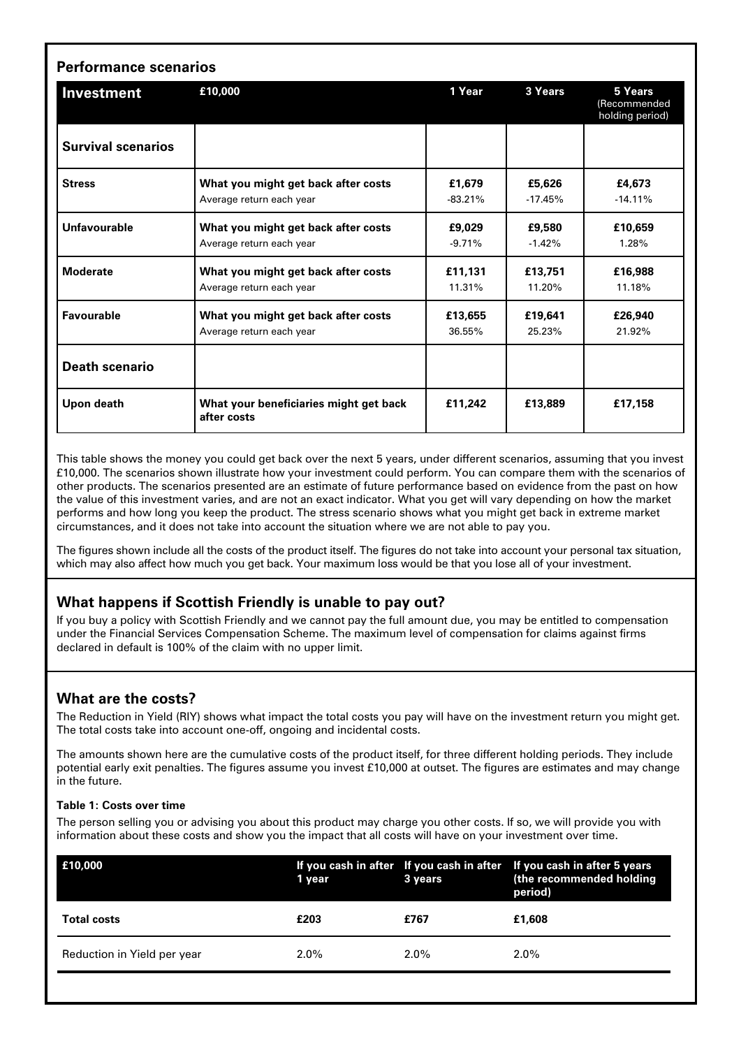| Investment                | £10,000                                               | 1 Year    | 3 Years   | 5 Years<br>(Recommended<br>holding period) |
|---------------------------|-------------------------------------------------------|-----------|-----------|--------------------------------------------|
| <b>Survival scenarios</b> |                                                       |           |           |                                            |
| <b>Stress</b>             | What you might get back after costs                   | £1,679    | £5,626    | £4,673                                     |
|                           | Average return each year                              | $-83.21%$ | $-17.45%$ | $-14.11%$                                  |
| Unfavourable              | What you might get back after costs                   | £9.029    | £9,580    | £10.659                                    |
|                           | Average return each year                              | $-9.71%$  | $-1.42%$  | 1.28%                                      |
| <b>Moderate</b>           | What you might get back after costs                   | £11,131   | £13,751   | £16,988                                    |
|                           | Average return each year                              | 11.31%    | 11.20%    | 11.18%                                     |
| <b>Favourable</b>         | What you might get back after costs                   | £13,655   | £19,641   | £26,940                                    |
|                           | Average return each year                              | 36.55%    | 25.23%    | 21.92%                                     |
| <b>Death scenario</b>     |                                                       |           |           |                                            |
| Upon death                | What your beneficiaries might get back<br>after costs | £11,242   | £13,889   | £17,158                                    |

This table shows the money you could get back over the next 5 years, under different scenarios, assuming that you invest £10,000. The scenarios shown illustrate how your investment could perform. You can compare them with the scenarios of other products. The scenarios presented are an estimate of future performance based on evidence from the past on how the value of this investment varies, and are not an exact indicator. What you get will vary depending on how the market performs and how long you keep the product. The stress scenario shows what you might get back in extreme market circumstances, and it does not take into account the situation where we are not able to pay you.

The figures shown include all the costs of the product itself. The figures do not take into account your personal tax situation, which may also affect how much you get back. Your maximum loss would be that you lose all of your investment.

# **What happens if Scottish Friendly is unable to pay out?**

If you buy a policy with Scottish Friendly and we cannot pay the full amount due, you may be entitled to compensation under the Financial Services Compensation Scheme. The maximum level of compensation for claims against firms declared in default is 100% of the claim with no upper limit.

# **What are the costs?**

The Reduction in Yield (RIY) shows what impact the total costs you pay will have on the investment return you might get. The total costs take into account one-off, ongoing and incidental costs.

The amounts shown here are the cumulative costs of the product itself, for three different holding periods. They include potential early exit penalties. The figures assume you invest £10,000 at outset. The figures are estimates and may change in the future.

#### **Table 1: Costs over time**

The person selling you or advising you about this product may charge you other costs. If so, we will provide you with information about these costs and show you the impact that all costs will have on your investment over time.

| £10,000                     | 1 year  | 3 years | If you cash in after If you cash in after If you cash in after 5 years<br>(the recommended holding<br>period) |
|-----------------------------|---------|---------|---------------------------------------------------------------------------------------------------------------|
| <b>Total costs</b>          | £203    | £767    | £1.608                                                                                                        |
| Reduction in Yield per year | $2.0\%$ | $2.0\%$ | $2.0\%$                                                                                                       |